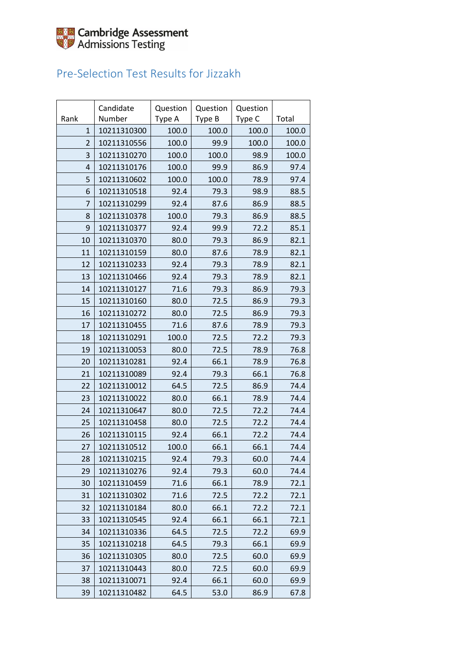

### Pre-Selection Test Results for Jizzakh

|                | Candidate   | Question | Question | Question |       |
|----------------|-------------|----------|----------|----------|-------|
| Rank           | Number      | Type A   | Type B   | Type C   | Total |
| $\mathbf{1}$   | 10211310300 | 100.0    | 100.0    | 100.0    | 100.0 |
| 2              | 10211310556 | 100.0    | 99.9     | 100.0    | 100.0 |
| 3              | 10211310270 | 100.0    | 100.0    | 98.9     | 100.0 |
| $\overline{4}$ | 10211310176 | 100.0    | 99.9     | 86.9     | 97.4  |
| 5              | 10211310602 | 100.0    | 100.0    | 78.9     | 97.4  |
| 6              | 10211310518 | 92.4     | 79.3     | 98.9     | 88.5  |
| 7              | 10211310299 | 92.4     | 87.6     | 86.9     | 88.5  |
| 8              | 10211310378 | 100.0    | 79.3     | 86.9     | 88.5  |
| 9              | 10211310377 | 92.4     | 99.9     | 72.2     | 85.1  |
| 10             | 10211310370 | 80.0     | 79.3     | 86.9     | 82.1  |
| 11             | 10211310159 | 80.0     | 87.6     | 78.9     | 82.1  |
| 12             | 10211310233 | 92.4     | 79.3     | 78.9     | 82.1  |
| 13             | 10211310466 | 92.4     | 79.3     | 78.9     | 82.1  |
| 14             | 10211310127 | 71.6     | 79.3     | 86.9     | 79.3  |
| 15             | 10211310160 | 80.0     | 72.5     | 86.9     | 79.3  |
| 16             | 10211310272 | 80.0     | 72.5     | 86.9     | 79.3  |
| 17             | 10211310455 | 71.6     | 87.6     | 78.9     | 79.3  |
| 18             | 10211310291 | 100.0    | 72.5     | 72.2     | 79.3  |
| 19             | 10211310053 | 80.0     | 72.5     | 78.9     | 76.8  |
| 20             | 10211310281 | 92.4     | 66.1     | 78.9     | 76.8  |
| 21             | 10211310089 | 92.4     | 79.3     | 66.1     | 76.8  |
| 22             | 10211310012 | 64.5     | 72.5     | 86.9     | 74.4  |
| 23             | 10211310022 | 80.0     | 66.1     | 78.9     | 74.4  |
| 24             | 10211310647 | 80.0     | 72.5     | 72.2     | 74.4  |
| 25             | 10211310458 | 80.0     | 72.5     | 72.2     | 74.4  |
| 26             | 10211310115 | 92.4     | 66.1     | 72.2     | 74.4  |
| 27             | 10211310512 | 100.0    | 66.1     | 66.1     | 74.4  |
| 28             | 10211310215 | 92.4     | 79.3     | 60.0     | 74.4  |
| 29             | 10211310276 | 92.4     | 79.3     | 60.0     | 74.4  |
| 30             | 10211310459 | 71.6     | 66.1     | 78.9     | 72.1  |
| 31             | 10211310302 | 71.6     | 72.5     | 72.2     | 72.1  |
| 32             | 10211310184 | 80.0     | 66.1     | 72.2     | 72.1  |
| 33             | 10211310545 | 92.4     | 66.1     | 66.1     | 72.1  |
| 34             | 10211310336 | 64.5     | 72.5     | 72.2     | 69.9  |
| 35             | 10211310218 | 64.5     | 79.3     | 66.1     | 69.9  |
| 36             | 10211310305 | 80.0     | 72.5     | 60.0     | 69.9  |
| 37             | 10211310443 | 80.0     | 72.5     | 60.0     | 69.9  |
| 38             | 10211310071 | 92.4     | 66.1     | 60.0     | 69.9  |
| 39             | 10211310482 | 64.5     | 53.0     | 86.9     | 67.8  |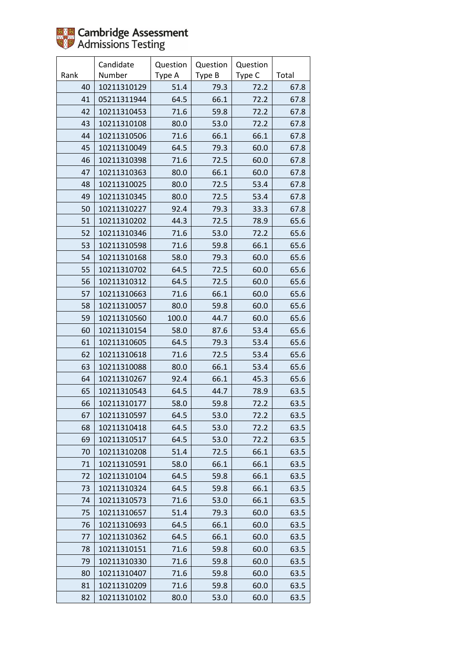

|      | Candidate   | Question | Question | Question |       |
|------|-------------|----------|----------|----------|-------|
| Rank | Number      | Type A   | Type B   | Type C   | Total |
| 40   | 10211310129 | 51.4     | 79.3     | 72.2     | 67.8  |
| 41   | 05211311944 | 64.5     | 66.1     | 72.2     | 67.8  |
| 42   | 10211310453 | 71.6     | 59.8     | 72.2     | 67.8  |
| 43   | 10211310108 | 80.0     | 53.0     | 72.2     | 67.8  |
| 44   | 10211310506 | 71.6     | 66.1     | 66.1     | 67.8  |
| 45   | 10211310049 | 64.5     | 79.3     | 60.0     | 67.8  |
| 46   | 10211310398 | 71.6     | 72.5     | 60.0     | 67.8  |
| 47   | 10211310363 | 80.0     | 66.1     | 60.0     | 67.8  |
| 48   | 10211310025 | 80.0     | 72.5     | 53.4     | 67.8  |
| 49   | 10211310345 | 80.0     | 72.5     | 53.4     | 67.8  |
| 50   | 10211310227 | 92.4     | 79.3     | 33.3     | 67.8  |
| 51   | 10211310202 | 44.3     | 72.5     | 78.9     | 65.6  |
| 52   | 10211310346 | 71.6     | 53.0     | 72.2     | 65.6  |
| 53   | 10211310598 | 71.6     | 59.8     | 66.1     | 65.6  |
| 54   | 10211310168 | 58.0     | 79.3     | 60.0     | 65.6  |
| 55   | 10211310702 | 64.5     | 72.5     | 60.0     | 65.6  |
| 56   | 10211310312 | 64.5     | 72.5     | 60.0     | 65.6  |
| 57   | 10211310663 | 71.6     | 66.1     | 60.0     | 65.6  |
| 58   | 10211310057 | 80.0     | 59.8     | 60.0     | 65.6  |
| 59   | 10211310560 | 100.0    | 44.7     | 60.0     | 65.6  |
| 60   | 10211310154 | 58.0     | 87.6     | 53.4     | 65.6  |
| 61   | 10211310605 | 64.5     | 79.3     | 53.4     | 65.6  |
| 62   | 10211310618 | 71.6     | 72.5     | 53.4     | 65.6  |
| 63   | 10211310088 | 80.0     | 66.1     | 53.4     | 65.6  |
| 64   | 10211310267 | 92.4     | 66.1     | 45.3     | 65.6  |
| 65   | 10211310543 | 64.5     | 44.7     | 78.9     | 63.5  |
| 66   | 10211310177 | 58.0     | 59.8     | 72.2     | 63.5  |
| 67   | 10211310597 | 64.5     | 53.0     | 72.2     | 63.5  |
| 68   | 10211310418 | 64.5     | 53.0     | 72.2     | 63.5  |
| 69   | 10211310517 | 64.5     | 53.0     | 72.2     | 63.5  |
| 70   | 10211310208 | 51.4     | 72.5     | 66.1     | 63.5  |
| 71   | 10211310591 | 58.0     | 66.1     | 66.1     | 63.5  |
| 72   | 10211310104 | 64.5     | 59.8     | 66.1     | 63.5  |
| 73   | 10211310324 | 64.5     | 59.8     | 66.1     | 63.5  |
| 74   | 10211310573 | 71.6     | 53.0     | 66.1     | 63.5  |
| 75   | 10211310657 | 51.4     | 79.3     | 60.0     | 63.5  |
| 76   | 10211310693 | 64.5     | 66.1     | 60.0     | 63.5  |
| 77   | 10211310362 | 64.5     | 66.1     | 60.0     | 63.5  |
| 78   | 10211310151 | 71.6     | 59.8     | 60.0     | 63.5  |
| 79   | 10211310330 | 71.6     | 59.8     | 60.0     | 63.5  |
| 80   | 10211310407 | 71.6     | 59.8     | 60.0     | 63.5  |
| 81   | 10211310209 | 71.6     | 59.8     | 60.0     | 63.5  |
| 82   | 10211310102 | 80.0     | 53.0     | 60.0     | 63.5  |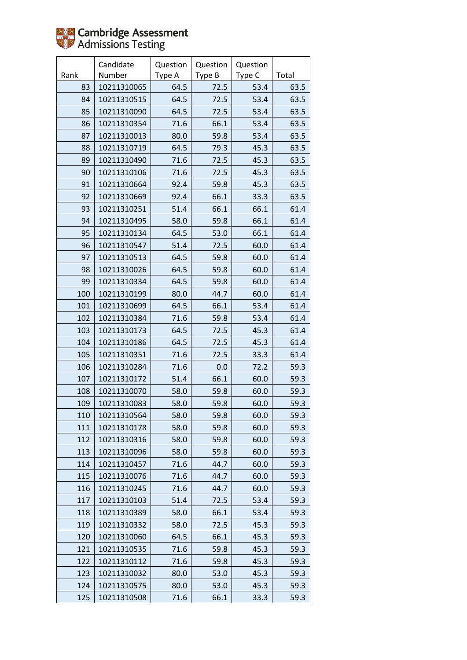

|      | Candidate   | Question | Question | Question |       |
|------|-------------|----------|----------|----------|-------|
| Rank | Number      | Type A   | Type B   | Type C   | Total |
| 83   | 10211310065 | 64.5     | 72.5     | 53.4     | 63.5  |
| 84   | 10211310515 | 64.5     | 72.5     | 53.4     | 63.5  |
| 85   | 10211310090 | 64.5     | 72.5     | 53.4     | 63.5  |
| 86   | 10211310354 | 71.6     | 66.1     | 53.4     | 63.5  |
| 87   | 10211310013 | 80.0     | 59.8     | 53.4     | 63.5  |
| 88   | 10211310719 | 64.5     | 79.3     | 45.3     | 63.5  |
| 89   | 10211310490 | 71.6     | 72.5     | 45.3     | 63.5  |
| 90   | 10211310106 | 71.6     | 72.5     | 45.3     | 63.5  |
| 91   | 10211310664 | 92.4     | 59.8     | 45.3     | 63.5  |
| 92   | 10211310669 | 92.4     | 66.1     | 33.3     | 63.5  |
| 93   | 10211310251 | 51.4     | 66.1     | 66.1     | 61.4  |
| 94   | 10211310495 | 58.0     | 59.8     | 66.1     | 61.4  |
| 95   | 10211310134 | 64.5     | 53.0     | 66.1     | 61.4  |
| 96   | 10211310547 | 51.4     | 72.5     | 60.0     | 61.4  |
| 97   | 10211310513 | 64.5     | 59.8     | 60.0     | 61.4  |
| 98   | 10211310026 | 64.5     | 59.8     | 60.0     | 61.4  |
| 99   | 10211310334 | 64.5     | 59.8     | 60.0     | 61.4  |
| 100  | 10211310199 | 80.0     | 44.7     | 60.0     | 61.4  |
| 101  | 10211310699 | 64.5     | 66.1     | 53.4     | 61.4  |
| 102  | 10211310384 | 71.6     | 59.8     | 53.4     | 61.4  |
| 103  | 10211310173 | 64.5     | 72.5     | 45.3     | 61.4  |
| 104  | 10211310186 | 64.5     | 72.5     | 45.3     | 61.4  |
| 105  | 10211310351 | 71.6     | 72.5     | 33.3     | 61.4  |
| 106  | 10211310284 | 71.6     | 0.0      | 72.2     | 59.3  |
| 107  | 10211310172 | 51.4     | 66.1     | 60.0     | 59.3  |
| 108  | 10211310070 | 58.0     | 59.8     | 60.0     | 59.3  |
| 109  | 10211310083 | 58.0     | 59.8     | 60.0     | 59.3  |
| 110  | 10211310564 | 58.0     | 59.8     | 60.0     | 59.3  |
| 111  | 10211310178 | 58.0     | 59.8     | 60.0     | 59.3  |
| 112  | 10211310316 | 58.0     | 59.8     | 60.0     | 59.3  |
| 113  | 10211310096 | 58.0     | 59.8     | 60.0     | 59.3  |
| 114  | 10211310457 | 71.6     | 44.7     | 60.0     | 59.3  |
| 115  | 10211310076 | 71.6     | 44.7     | 60.0     | 59.3  |
| 116  | 10211310245 | 71.6     | 44.7     | 60.0     | 59.3  |
| 117  | 10211310103 | 51.4     | 72.5     | 53.4     | 59.3  |
| 118  | 10211310389 | 58.0     | 66.1     | 53.4     | 59.3  |
| 119  | 10211310332 | 58.0     | 72.5     | 45.3     | 59.3  |
| 120  | 10211310060 | 64.5     | 66.1     | 45.3     | 59.3  |
| 121  | 10211310535 | 71.6     | 59.8     | 45.3     | 59.3  |
| 122  | 10211310112 | 71.6     | 59.8     | 45.3     | 59.3  |
| 123  | 10211310032 | 80.0     | 53.0     | 45.3     | 59.3  |
| 124  | 10211310575 | 80.0     | 53.0     | 45.3     | 59.3  |
| 125  | 10211310508 | 71.6     | 66.1     | 33.3     | 59.3  |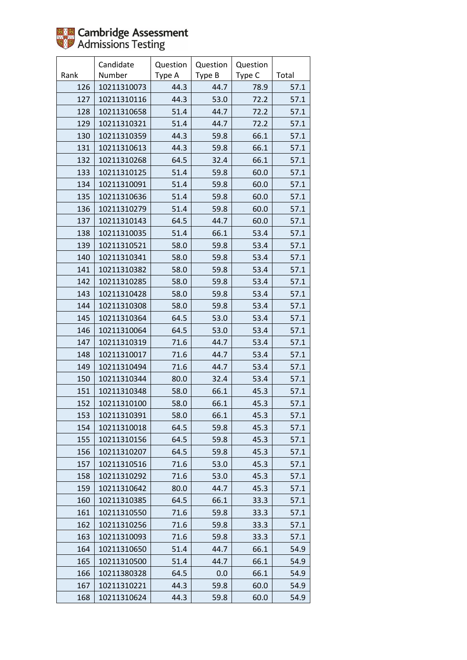

|      | Candidate   | Question | Question | Question |       |
|------|-------------|----------|----------|----------|-------|
| Rank | Number      | Type A   | Type B   | Type C   | Total |
| 126  | 10211310073 | 44.3     | 44.7     | 78.9     | 57.1  |
| 127  | 10211310116 | 44.3     | 53.0     | 72.2     | 57.1  |
| 128  | 10211310658 | 51.4     | 44.7     | 72.2     | 57.1  |
| 129  | 10211310321 | 51.4     | 44.7     | 72.2     | 57.1  |
| 130  | 10211310359 | 44.3     | 59.8     | 66.1     | 57.1  |
| 131  | 10211310613 | 44.3     | 59.8     | 66.1     | 57.1  |
| 132  | 10211310268 | 64.5     | 32.4     | 66.1     | 57.1  |
| 133  | 10211310125 | 51.4     | 59.8     | 60.0     | 57.1  |
| 134  | 10211310091 | 51.4     | 59.8     | 60.0     | 57.1  |
| 135  | 10211310636 | 51.4     | 59.8     | 60.0     | 57.1  |
| 136  | 10211310279 | 51.4     | 59.8     | 60.0     | 57.1  |
| 137  | 10211310143 | 64.5     | 44.7     | 60.0     | 57.1  |
| 138  | 10211310035 | 51.4     | 66.1     | 53.4     | 57.1  |
| 139  | 10211310521 | 58.0     | 59.8     | 53.4     | 57.1  |
| 140  | 10211310341 | 58.0     | 59.8     | 53.4     | 57.1  |
| 141  | 10211310382 | 58.0     | 59.8     | 53.4     | 57.1  |
| 142  | 10211310285 | 58.0     | 59.8     | 53.4     | 57.1  |
| 143  | 10211310428 | 58.0     | 59.8     | 53.4     | 57.1  |
| 144  | 10211310308 | 58.0     | 59.8     | 53.4     | 57.1  |
| 145  | 10211310364 | 64.5     | 53.0     | 53.4     | 57.1  |
| 146  | 10211310064 | 64.5     | 53.0     | 53.4     | 57.1  |
| 147  | 10211310319 | 71.6     | 44.7     | 53.4     | 57.1  |
| 148  | 10211310017 | 71.6     | 44.7     | 53.4     | 57.1  |
| 149  | 10211310494 | 71.6     | 44.7     | 53.4     | 57.1  |
| 150  | 10211310344 | 80.0     | 32.4     | 53.4     | 57.1  |
| 151  | 10211310348 | 58.0     | 66.1     | 45.3     | 57.1  |
| 152  | 10211310100 | 58.0     | 66.1     | 45.3     | 57.1  |
| 153  | 10211310391 | 58.0     | 66.1     | 45.3     | 57.1  |
| 154  | 10211310018 | 64.5     | 59.8     | 45.3     | 57.1  |
| 155  | 10211310156 | 64.5     | 59.8     | 45.3     | 57.1  |
| 156  | 10211310207 | 64.5     | 59.8     | 45.3     | 57.1  |
| 157  | 10211310516 | 71.6     | 53.0     | 45.3     | 57.1  |
| 158  | 10211310292 | 71.6     | 53.0     | 45.3     | 57.1  |
| 159  | 10211310642 | 80.0     | 44.7     | 45.3     | 57.1  |
| 160  | 10211310385 | 64.5     | 66.1     | 33.3     | 57.1  |
| 161  | 10211310550 | 71.6     | 59.8     | 33.3     | 57.1  |
| 162  | 10211310256 | 71.6     | 59.8     | 33.3     | 57.1  |
| 163  | 10211310093 | 71.6     | 59.8     | 33.3     | 57.1  |
| 164  | 10211310650 | 51.4     | 44.7     | 66.1     | 54.9  |
| 165  | 10211310500 | 51.4     | 44.7     | 66.1     | 54.9  |
| 166  | 10211380328 | 64.5     | 0.0      | 66.1     | 54.9  |
| 167  | 10211310221 | 44.3     | 59.8     | 60.0     | 54.9  |
| 168  | 10211310624 | 44.3     | 59.8     | 60.0     | 54.9  |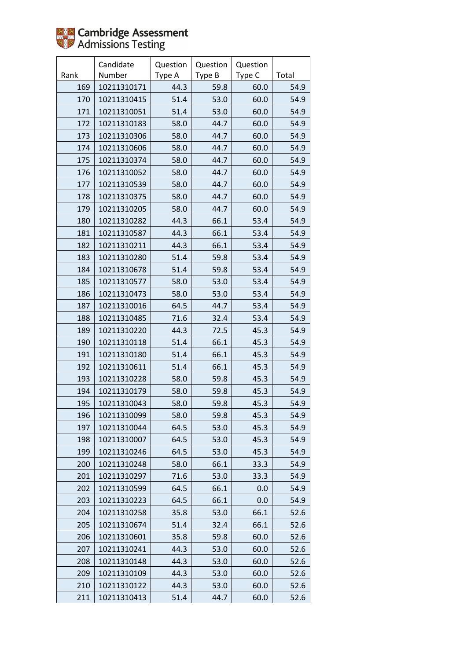

|      | Candidate   | Question | Question | Question |       |
|------|-------------|----------|----------|----------|-------|
| Rank | Number      | Type A   | Type B   | Type C   | Total |
| 169  | 10211310171 | 44.3     | 59.8     | 60.0     | 54.9  |
| 170  | 10211310415 | 51.4     | 53.0     | 60.0     | 54.9  |
| 171  | 10211310051 | 51.4     | 53.0     | 60.0     | 54.9  |
| 172  | 10211310183 | 58.0     | 44.7     | 60.0     | 54.9  |
| 173  | 10211310306 | 58.0     | 44.7     | 60.0     | 54.9  |
| 174  | 10211310606 | 58.0     | 44.7     | 60.0     | 54.9  |
| 175  | 10211310374 | 58.0     | 44.7     | 60.0     | 54.9  |
| 176  | 10211310052 | 58.0     | 44.7     | 60.0     | 54.9  |
| 177  | 10211310539 | 58.0     | 44.7     | 60.0     | 54.9  |
| 178  | 10211310375 | 58.0     | 44.7     | 60.0     | 54.9  |
| 179  | 10211310205 | 58.0     | 44.7     | 60.0     | 54.9  |
| 180  | 10211310282 | 44.3     | 66.1     | 53.4     | 54.9  |
| 181  | 10211310587 | 44.3     | 66.1     | 53.4     | 54.9  |
| 182  | 10211310211 | 44.3     | 66.1     | 53.4     | 54.9  |
| 183  | 10211310280 | 51.4     | 59.8     | 53.4     | 54.9  |
| 184  | 10211310678 | 51.4     | 59.8     | 53.4     | 54.9  |
| 185  | 10211310577 | 58.0     | 53.0     | 53.4     | 54.9  |
| 186  | 10211310473 | 58.0     | 53.0     | 53.4     | 54.9  |
| 187  | 10211310016 | 64.5     | 44.7     | 53.4     | 54.9  |
| 188  | 10211310485 | 71.6     | 32.4     | 53.4     | 54.9  |
| 189  | 10211310220 | 44.3     | 72.5     | 45.3     | 54.9  |
| 190  | 10211310118 | 51.4     | 66.1     | 45.3     | 54.9  |
| 191  | 10211310180 | 51.4     | 66.1     | 45.3     | 54.9  |
| 192  | 10211310611 | 51.4     | 66.1     | 45.3     | 54.9  |
| 193  | 10211310228 | 58.0     | 59.8     | 45.3     | 54.9  |
| 194  | 10211310179 | 58.0     | 59.8     | 45.3     | 54.9  |
| 195  | 10211310043 | 58.0     | 59.8     | 45.3     | 54.9  |
| 196  | 10211310099 | 58.0     | 59.8     | 45.3     | 54.9  |
| 197  | 10211310044 | 64.5     | 53.0     | 45.3     | 54.9  |
| 198  | 10211310007 | 64.5     | 53.0     | 45.3     | 54.9  |
| 199  | 10211310246 | 64.5     | 53.0     | 45.3     | 54.9  |
| 200  | 10211310248 | 58.0     | 66.1     | 33.3     | 54.9  |
| 201  | 10211310297 | 71.6     | 53.0     | 33.3     | 54.9  |
| 202  | 10211310599 | 64.5     | 66.1     | 0.0      | 54.9  |
| 203  | 10211310223 | 64.5     | 66.1     | 0.0      | 54.9  |
| 204  | 10211310258 | 35.8     | 53.0     | 66.1     | 52.6  |
| 205  | 10211310674 | 51.4     | 32.4     | 66.1     | 52.6  |
| 206  | 10211310601 | 35.8     | 59.8     | 60.0     | 52.6  |
| 207  | 10211310241 | 44.3     | 53.0     | 60.0     | 52.6  |
| 208  | 10211310148 | 44.3     | 53.0     | 60.0     | 52.6  |
| 209  | 10211310109 | 44.3     | 53.0     | 60.0     | 52.6  |
| 210  | 10211310122 | 44.3     | 53.0     | 60.0     | 52.6  |
| 211  | 10211310413 | 51.4     | 44.7     | 60.0     | 52.6  |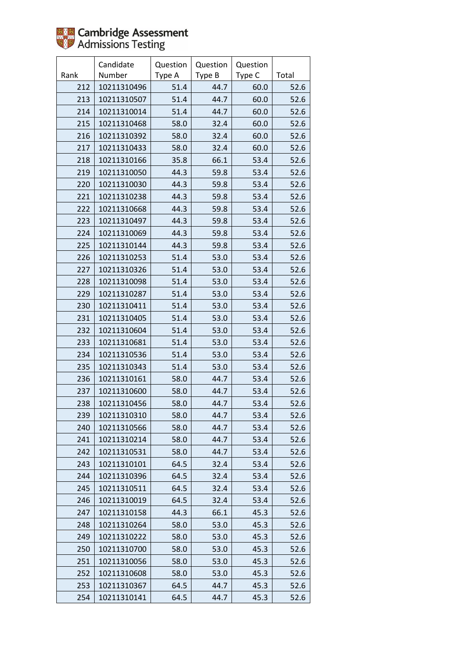

|      | Candidate   | Question | Question | Question |       |
|------|-------------|----------|----------|----------|-------|
| Rank | Number      | Type A   | Type B   | Type C   | Total |
| 212  | 10211310496 | 51.4     | 44.7     | 60.0     | 52.6  |
| 213  | 10211310507 | 51.4     | 44.7     | 60.0     | 52.6  |
| 214  | 10211310014 | 51.4     | 44.7     | 60.0     | 52.6  |
| 215  | 10211310468 | 58.0     | 32.4     | 60.0     | 52.6  |
| 216  | 10211310392 | 58.0     | 32.4     | 60.0     | 52.6  |
| 217  | 10211310433 | 58.0     | 32.4     | 60.0     | 52.6  |
| 218  | 10211310166 | 35.8     | 66.1     | 53.4     | 52.6  |
| 219  | 10211310050 | 44.3     | 59.8     | 53.4     | 52.6  |
| 220  | 10211310030 | 44.3     | 59.8     | 53.4     | 52.6  |
| 221  | 10211310238 | 44.3     | 59.8     | 53.4     | 52.6  |
| 222  | 10211310668 | 44.3     | 59.8     | 53.4     | 52.6  |
| 223  | 10211310497 | 44.3     | 59.8     | 53.4     | 52.6  |
| 224  | 10211310069 | 44.3     | 59.8     | 53.4     | 52.6  |
| 225  | 10211310144 | 44.3     | 59.8     | 53.4     | 52.6  |
| 226  | 10211310253 | 51.4     | 53.0     | 53.4     | 52.6  |
| 227  | 10211310326 | 51.4     | 53.0     | 53.4     | 52.6  |
| 228  | 10211310098 | 51.4     | 53.0     | 53.4     | 52.6  |
| 229  | 10211310287 | 51.4     | 53.0     | 53.4     | 52.6  |
| 230  | 10211310411 | 51.4     | 53.0     | 53.4     | 52.6  |
| 231  | 10211310405 | 51.4     | 53.0     | 53.4     | 52.6  |
| 232  | 10211310604 | 51.4     | 53.0     | 53.4     | 52.6  |
| 233  | 10211310681 | 51.4     | 53.0     | 53.4     | 52.6  |
| 234  | 10211310536 | 51.4     | 53.0     | 53.4     | 52.6  |
| 235  | 10211310343 | 51.4     | 53.0     | 53.4     | 52.6  |
| 236  | 10211310161 | 58.0     | 44.7     | 53.4     | 52.6  |
| 237  | 10211310600 | 58.0     | 44.7     | 53.4     | 52.6  |
| 238  | 10211310456 | 58.0     | 44.7     | 53.4     | 52.6  |
| 239  | 10211310310 | 58.0     | 44.7     | 53.4     | 52.6  |
| 240  | 10211310566 | 58.0     | 44.7     | 53.4     | 52.6  |
| 241  | 10211310214 | 58.0     | 44.7     | 53.4     | 52.6  |
| 242  | 10211310531 | 58.0     | 44.7     | 53.4     | 52.6  |
| 243  | 10211310101 | 64.5     | 32.4     | 53.4     | 52.6  |
| 244  | 10211310396 | 64.5     | 32.4     | 53.4     | 52.6  |
| 245  | 10211310511 | 64.5     | 32.4     | 53.4     | 52.6  |
| 246  | 10211310019 | 64.5     | 32.4     | 53.4     | 52.6  |
| 247  | 10211310158 | 44.3     | 66.1     | 45.3     | 52.6  |
| 248  | 10211310264 | 58.0     | 53.0     | 45.3     | 52.6  |
| 249  | 10211310222 | 58.0     | 53.0     | 45.3     | 52.6  |
| 250  | 10211310700 | 58.0     | 53.0     | 45.3     | 52.6  |
| 251  | 10211310056 | 58.0     | 53.0     | 45.3     | 52.6  |
| 252  | 10211310608 | 58.0     | 53.0     | 45.3     | 52.6  |
| 253  | 10211310367 | 64.5     | 44.7     | 45.3     | 52.6  |
| 254  | 10211310141 | 64.5     | 44.7     | 45.3     | 52.6  |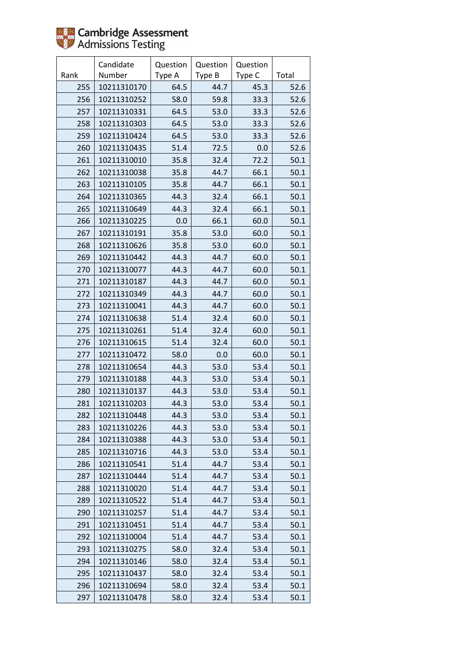

|      | Candidate   | Question | Question | Question |       |
|------|-------------|----------|----------|----------|-------|
| Rank | Number      | Type A   | Type B   | Type C   | Total |
| 255  | 10211310170 | 64.5     | 44.7     | 45.3     | 52.6  |
| 256  | 10211310252 | 58.0     | 59.8     | 33.3     | 52.6  |
| 257  | 10211310331 | 64.5     | 53.0     | 33.3     | 52.6  |
| 258  | 10211310303 | 64.5     | 53.0     | 33.3     | 52.6  |
| 259  | 10211310424 | 64.5     | 53.0     | 33.3     | 52.6  |
| 260  | 10211310435 | 51.4     | 72.5     | 0.0      | 52.6  |
| 261  | 10211310010 | 35.8     | 32.4     | 72.2     | 50.1  |
| 262  | 10211310038 | 35.8     | 44.7     | 66.1     | 50.1  |
| 263  | 10211310105 | 35.8     | 44.7     | 66.1     | 50.1  |
| 264  | 10211310365 | 44.3     | 32.4     | 66.1     | 50.1  |
| 265  | 10211310649 | 44.3     | 32.4     | 66.1     | 50.1  |
| 266  | 10211310225 | 0.0      | 66.1     | 60.0     | 50.1  |
| 267  | 10211310191 | 35.8     | 53.0     | 60.0     | 50.1  |
| 268  | 10211310626 | 35.8     | 53.0     | 60.0     | 50.1  |
| 269  | 10211310442 | 44.3     | 44.7     | 60.0     | 50.1  |
| 270  | 10211310077 | 44.3     | 44.7     | 60.0     | 50.1  |
| 271  | 10211310187 | 44.3     | 44.7     | 60.0     | 50.1  |
| 272  | 10211310349 | 44.3     | 44.7     | 60.0     | 50.1  |
| 273  | 10211310041 | 44.3     | 44.7     | 60.0     | 50.1  |
| 274  | 10211310638 | 51.4     | 32.4     | 60.0     | 50.1  |
| 275  | 10211310261 | 51.4     | 32.4     | 60.0     | 50.1  |
| 276  | 10211310615 | 51.4     | 32.4     | 60.0     | 50.1  |
| 277  | 10211310472 | 58.0     | 0.0      | 60.0     | 50.1  |
| 278  | 10211310654 | 44.3     | 53.0     | 53.4     | 50.1  |
| 279  | 10211310188 | 44.3     | 53.0     | 53.4     | 50.1  |
| 280  | 10211310137 | 44.3     | 53.0     | 53.4     | 50.1  |
| 281  | 10211310203 | 44.3     | 53.0     | 53.4     | 50.1  |
| 282  | 10211310448 | 44.3     | 53.0     | 53.4     | 50.1  |
| 283  | 10211310226 | 44.3     | 53.0     | 53.4     | 50.1  |
| 284  | 10211310388 | 44.3     | 53.0     | 53.4     | 50.1  |
| 285  | 10211310716 | 44.3     | 53.0     | 53.4     | 50.1  |
| 286  | 10211310541 | 51.4     | 44.7     | 53.4     | 50.1  |
| 287  | 10211310444 | 51.4     | 44.7     | 53.4     | 50.1  |
| 288  | 10211310020 | 51.4     | 44.7     | 53.4     | 50.1  |
| 289  | 10211310522 | 51.4     | 44.7     | 53.4     | 50.1  |
| 290  | 10211310257 | 51.4     | 44.7     | 53.4     | 50.1  |
| 291  | 10211310451 | 51.4     | 44.7     | 53.4     | 50.1  |
| 292  | 10211310004 | 51.4     | 44.7     | 53.4     | 50.1  |
| 293  | 10211310275 | 58.0     | 32.4     | 53.4     | 50.1  |
| 294  | 10211310146 | 58.0     | 32.4     | 53.4     | 50.1  |
| 295  | 10211310437 | 58.0     | 32.4     | 53.4     | 50.1  |
| 296  | 10211310694 | 58.0     | 32.4     | 53.4     | 50.1  |
| 297  | 10211310478 | 58.0     | 32.4     | 53.4     | 50.1  |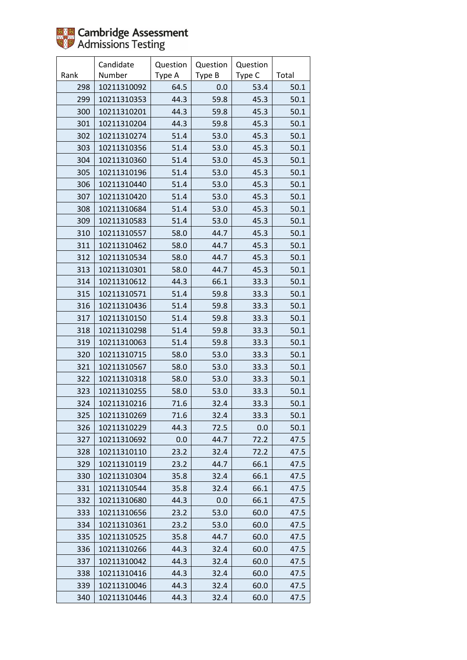

|      | Candidate   | Question | Question | Question |       |
|------|-------------|----------|----------|----------|-------|
| Rank | Number      | Type A   | Type B   | Type C   | Total |
| 298  | 10211310092 | 64.5     | 0.0      | 53.4     | 50.1  |
| 299  | 10211310353 | 44.3     | 59.8     | 45.3     | 50.1  |
| 300  | 10211310201 | 44.3     | 59.8     | 45.3     | 50.1  |
| 301  | 10211310204 | 44.3     | 59.8     | 45.3     | 50.1  |
| 302  | 10211310274 | 51.4     | 53.0     | 45.3     | 50.1  |
| 303  | 10211310356 | 51.4     | 53.0     | 45.3     | 50.1  |
| 304  | 10211310360 | 51.4     | 53.0     | 45.3     | 50.1  |
| 305  | 10211310196 | 51.4     | 53.0     | 45.3     | 50.1  |
| 306  | 10211310440 | 51.4     | 53.0     | 45.3     | 50.1  |
| 307  | 10211310420 | 51.4     | 53.0     | 45.3     | 50.1  |
| 308  | 10211310684 | 51.4     | 53.0     | 45.3     | 50.1  |
| 309  | 10211310583 | 51.4     | 53.0     | 45.3     | 50.1  |
| 310  | 10211310557 | 58.0     | 44.7     | 45.3     | 50.1  |
| 311  | 10211310462 | 58.0     | 44.7     | 45.3     | 50.1  |
| 312  | 10211310534 | 58.0     | 44.7     | 45.3     | 50.1  |
| 313  | 10211310301 | 58.0     | 44.7     | 45.3     | 50.1  |
| 314  | 10211310612 | 44.3     | 66.1     | 33.3     | 50.1  |
| 315  | 10211310571 | 51.4     | 59.8     | 33.3     | 50.1  |
| 316  | 10211310436 | 51.4     | 59.8     | 33.3     | 50.1  |
| 317  | 10211310150 | 51.4     | 59.8     | 33.3     | 50.1  |
| 318  | 10211310298 | 51.4     | 59.8     | 33.3     | 50.1  |
| 319  | 10211310063 | 51.4     | 59.8     | 33.3     | 50.1  |
| 320  | 10211310715 | 58.0     | 53.0     | 33.3     | 50.1  |
| 321  | 10211310567 | 58.0     | 53.0     | 33.3     | 50.1  |
| 322  | 10211310318 | 58.0     | 53.0     | 33.3     | 50.1  |
| 323  | 10211310255 | 58.0     | 53.0     | 33.3     | 50.1  |
| 324  | 10211310216 | 71.6     | 32.4     | 33.3     | 50.1  |
| 325  | 10211310269 | 71.6     | 32.4     | 33.3     | 50.1  |
| 326  | 10211310229 | 44.3     | 72.5     | 0.0      | 50.1  |
| 327  | 10211310692 | 0.0      | 44.7     | 72.2     | 47.5  |
| 328  | 10211310110 | 23.2     | 32.4     | 72.2     | 47.5  |
| 329  | 10211310119 | 23.2     | 44.7     | 66.1     | 47.5  |
| 330  | 10211310304 | 35.8     | 32.4     | 66.1     | 47.5  |
| 331  | 10211310544 | 35.8     | 32.4     | 66.1     | 47.5  |
| 332  | 10211310680 | 44.3     | 0.0      | 66.1     | 47.5  |
| 333  | 10211310656 | 23.2     | 53.0     | 60.0     | 47.5  |
| 334  | 10211310361 | 23.2     | 53.0     | 60.0     | 47.5  |
| 335  | 10211310525 | 35.8     | 44.7     | 60.0     | 47.5  |
| 336  | 10211310266 | 44.3     | 32.4     | 60.0     | 47.5  |
| 337  | 10211310042 | 44.3     | 32.4     | 60.0     | 47.5  |
| 338  | 10211310416 | 44.3     | 32.4     | 60.0     | 47.5  |
| 339  | 10211310046 | 44.3     | 32.4     | 60.0     | 47.5  |
| 340  | 10211310446 | 44.3     | 32.4     | 60.0     | 47.5  |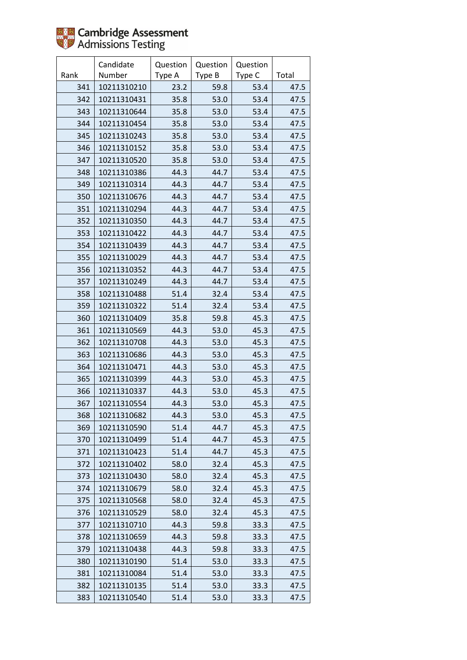

|      | Candidate   | Question | Question | Question |       |
|------|-------------|----------|----------|----------|-------|
| Rank | Number      | Type A   | Type B   | Type C   | Total |
| 341  | 10211310210 | 23.2     | 59.8     | 53.4     | 47.5  |
| 342  | 10211310431 | 35.8     | 53.0     | 53.4     | 47.5  |
| 343  | 10211310644 | 35.8     | 53.0     | 53.4     | 47.5  |
| 344  | 10211310454 | 35.8     | 53.0     | 53.4     | 47.5  |
| 345  | 10211310243 | 35.8     | 53.0     | 53.4     | 47.5  |
| 346  | 10211310152 | 35.8     | 53.0     | 53.4     | 47.5  |
| 347  | 10211310520 | 35.8     | 53.0     | 53.4     | 47.5  |
| 348  | 10211310386 | 44.3     | 44.7     | 53.4     | 47.5  |
| 349  | 10211310314 | 44.3     | 44.7     | 53.4     | 47.5  |
| 350  | 10211310676 | 44.3     | 44.7     | 53.4     | 47.5  |
| 351  | 10211310294 | 44.3     | 44.7     | 53.4     | 47.5  |
| 352  | 10211310350 | 44.3     | 44.7     | 53.4     | 47.5  |
| 353  | 10211310422 | 44.3     | 44.7     | 53.4     | 47.5  |
| 354  | 10211310439 | 44.3     | 44.7     | 53.4     | 47.5  |
| 355  | 10211310029 | 44.3     | 44.7     | 53.4     | 47.5  |
| 356  | 10211310352 | 44.3     | 44.7     | 53.4     | 47.5  |
| 357  | 10211310249 | 44.3     | 44.7     | 53.4     | 47.5  |
| 358  | 10211310488 | 51.4     | 32.4     | 53.4     | 47.5  |
| 359  | 10211310322 | 51.4     | 32.4     | 53.4     | 47.5  |
| 360  | 10211310409 | 35.8     | 59.8     | 45.3     | 47.5  |
| 361  | 10211310569 | 44.3     | 53.0     | 45.3     | 47.5  |
| 362  | 10211310708 | 44.3     | 53.0     | 45.3     | 47.5  |
| 363  | 10211310686 | 44.3     | 53.0     | 45.3     | 47.5  |
| 364  | 10211310471 | 44.3     | 53.0     | 45.3     | 47.5  |
| 365  | 10211310399 | 44.3     | 53.0     | 45.3     | 47.5  |
| 366  | 10211310337 | 44.3     | 53.0     | 45.3     | 47.5  |
| 367  | 10211310554 | 44.3     | 53.0     | 45.3     | 47.5  |
| 368  | 10211310682 | 44.3     | 53.0     | 45.3     | 47.5  |
| 369  | 10211310590 | 51.4     | 44.7     | 45.3     | 47.5  |
| 370  | 10211310499 | 51.4     | 44.7     | 45.3     | 47.5  |
| 371  | 10211310423 | 51.4     | 44.7     | 45.3     | 47.5  |
| 372  | 10211310402 | 58.0     | 32.4     | 45.3     | 47.5  |
| 373  | 10211310430 | 58.0     | 32.4     | 45.3     | 47.5  |
| 374  | 10211310679 | 58.0     | 32.4     | 45.3     | 47.5  |
| 375  | 10211310568 | 58.0     | 32.4     | 45.3     | 47.5  |
| 376  | 10211310529 | 58.0     | 32.4     | 45.3     | 47.5  |
| 377  | 10211310710 | 44.3     | 59.8     | 33.3     | 47.5  |
| 378  | 10211310659 | 44.3     | 59.8     | 33.3     | 47.5  |
| 379  | 10211310438 | 44.3     | 59.8     | 33.3     | 47.5  |
| 380  | 10211310190 | 51.4     | 53.0     | 33.3     | 47.5  |
| 381  | 10211310084 | 51.4     | 53.0     | 33.3     | 47.5  |
| 382  | 10211310135 | 51.4     | 53.0     | 33.3     | 47.5  |
| 383  | 10211310540 | 51.4     | 53.0     | 33.3     | 47.5  |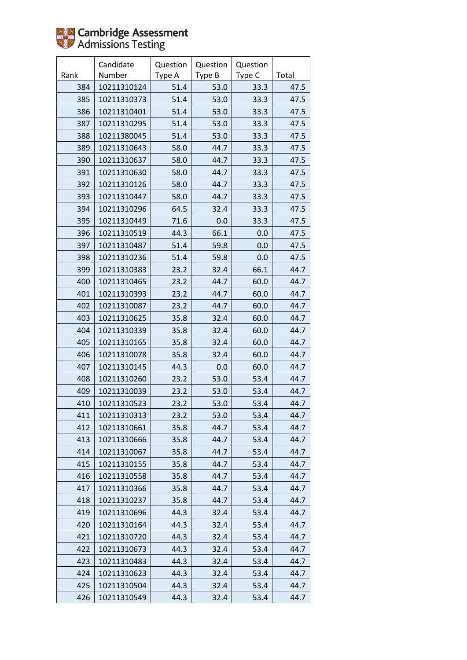

|      | Candidate   | Question | Question | Question |       |
|------|-------------|----------|----------|----------|-------|
| Rank | Number      | Type A   | Type B   | Type C   | Total |
| 384  | 10211310124 | 51.4     | 53.0     | 33.3     | 47.5  |
| 385  | 10211310373 | 51.4     | 53.0     | 33.3     | 47.5  |
| 386  | 10211310401 | 51.4     | 53.0     | 33.3     | 47.5  |
| 387  | 10211310295 | 51.4     | 53.0     | 33.3     | 47.5  |
| 388  | 10211380045 | 51.4     | 53.0     | 33.3     | 47.5  |
| 389  | 10211310643 | 58.0     | 44.7     | 33.3     | 47.5  |
| 390  | 10211310637 | 58.0     | 44.7     | 33.3     | 47.5  |
| 391  | 10211310630 | 58.0     | 44.7     | 33.3     | 47.5  |
| 392  | 10211310126 | 58.0     | 44.7     | 33.3     | 47.5  |
| 393  | 10211310447 | 58.0     | 44.7     | 33.3     | 47.5  |
| 394  | 10211310296 | 64.5     | 32.4     | 33.3     | 47.5  |
| 395  | 10211310449 | 71.6     | 0.0      | 33.3     | 47.5  |
| 396  | 10211310519 | 44.3     | 66.1     | 0.0      | 47.5  |
| 397  | 10211310487 | 51.4     | 59.8     | 0.0      | 47.5  |
| 398  | 10211310236 | 51.4     | 59.8     | 0.0      | 47.5  |
| 399  | 10211310383 | 23.2     | 32.4     | 66.1     | 44.7  |
| 400  | 10211310465 | 23.2     | 44.7     | 60.0     | 44.7  |
| 401  | 10211310393 | 23.2     | 44.7     | 60.0     | 44.7  |
| 402  | 10211310087 | 23.2     | 44.7     | 60.0     | 44.7  |
| 403  | 10211310625 | 35.8     | 32.4     | 60.0     | 44.7  |
| 404  | 10211310339 | 35.8     | 32.4     | 60.0     | 44.7  |
| 405  | 10211310165 | 35.8     | 32.4     | 60.0     | 44.7  |
| 406  | 10211310078 | 35.8     | 32.4     | 60.0     | 44.7  |
| 407  | 10211310145 | 44.3     | 0.0      | 60.0     | 44.7  |
| 408  | 10211310260 | 23.2     | 53.0     | 53.4     | 44.7  |
| 409  | 10211310039 | 23.2     | 53.0     | 53.4     | 44.7  |
| 410  | 10211310523 | 23.2     | 53.0     | 53.4     | 44.7  |
| 411  | 10211310313 | 23.2     | 53.0     | 53.4     | 44.7  |
| 412  | 10211310661 | 35.8     | 44.7     | 53.4     | 44.7  |
| 413  | 10211310666 | 35.8     | 44.7     | 53.4     | 44.7  |
| 414  | 10211310067 | 35.8     | 44.7     | 53.4     | 44.7  |
| 415  | 10211310155 | 35.8     | 44.7     | 53.4     | 44.7  |
| 416  | 10211310558 | 35.8     | 44.7     | 53.4     | 44.7  |
| 417  | 10211310366 | 35.8     | 44.7     | 53.4     | 44.7  |
| 418  | 10211310237 | 35.8     | 44.7     | 53.4     | 44.7  |
| 419  | 10211310696 | 44.3     | 32.4     | 53.4     | 44.7  |
| 420  | 10211310164 | 44.3     | 32.4     | 53.4     | 44.7  |
| 421  | 10211310720 | 44.3     | 32.4     | 53.4     | 44.7  |
| 422  | 10211310673 | 44.3     | 32.4     | 53.4     | 44.7  |
| 423  | 10211310483 | 44.3     | 32.4     | 53.4     | 44.7  |
| 424  | 10211310623 | 44.3     | 32.4     | 53.4     | 44.7  |
| 425  | 10211310504 | 44.3     | 32.4     | 53.4     | 44.7  |
| 426  | 10211310549 | 44.3     | 32.4     | 53.4     | 44.7  |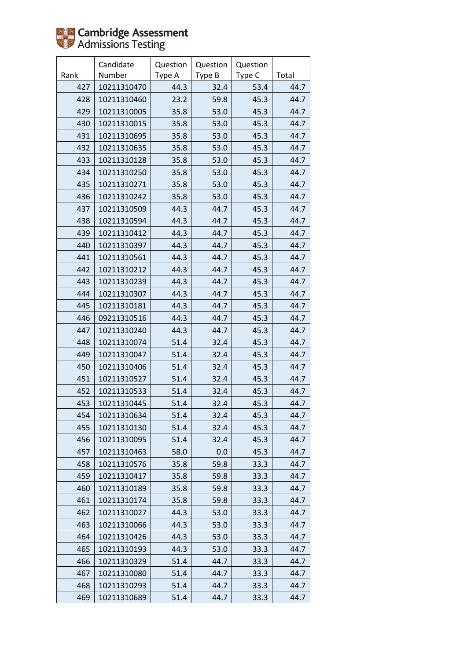

|      | Candidate   | Question | Question | Question |       |
|------|-------------|----------|----------|----------|-------|
| Rank | Number      | Type A   | Type B   | Type C   | Total |
| 427  | 10211310470 | 44.3     | 32.4     | 53.4     | 44.7  |
| 428  | 10211310460 | 23.2     | 59.8     | 45.3     | 44.7  |
| 429  | 10211310005 | 35.8     | 53.0     | 45.3     | 44.7  |
| 430  | 10211310015 | 35.8     | 53.0     | 45.3     | 44.7  |
| 431  | 10211310695 | 35.8     | 53.0     | 45.3     | 44.7  |
| 432  | 10211310635 | 35.8     | 53.0     | 45.3     | 44.7  |
| 433  | 10211310128 | 35.8     | 53.0     | 45.3     | 44.7  |
| 434  | 10211310250 | 35.8     | 53.0     | 45.3     | 44.7  |
| 435  | 10211310271 | 35.8     | 53.0     | 45.3     | 44.7  |
| 436  | 10211310242 | 35.8     | 53.0     | 45.3     | 44.7  |
| 437  | 10211310509 | 44.3     | 44.7     | 45.3     | 44.7  |
| 438  | 10211310594 | 44.3     | 44.7     | 45.3     | 44.7  |
| 439  | 10211310412 | 44.3     | 44.7     | 45.3     | 44.7  |
| 440  | 10211310397 | 44.3     | 44.7     | 45.3     | 44.7  |
| 441  | 10211310561 | 44.3     | 44.7     | 45.3     | 44.7  |
| 442  | 10211310212 | 44.3     | 44.7     | 45.3     | 44.7  |
| 443  | 10211310239 | 44.3     | 44.7     | 45.3     | 44.7  |
| 444  | 10211310307 | 44.3     | 44.7     | 45.3     | 44.7  |
| 445  | 10211310181 | 44.3     | 44.7     | 45.3     | 44.7  |
| 446  | 09211310516 | 44.3     | 44.7     | 45.3     | 44.7  |
| 447  | 10211310240 | 44.3     | 44.7     | 45.3     | 44.7  |
| 448  | 10211310074 | 51.4     | 32.4     | 45.3     | 44.7  |
| 449  | 10211310047 | 51.4     | 32.4     | 45.3     | 44.7  |
| 450  | 10211310406 | 51.4     | 32.4     | 45.3     | 44.7  |
| 451  | 10211310527 | 51.4     | 32.4     | 45.3     | 44.7  |
| 452  | 10211310533 | 51.4     | 32.4     | 45.3     | 44.7  |
| 453  | 10211310445 | 51.4     | 32.4     | 45.3     | 44.7  |
| 454  | 10211310634 | 51.4     | 32.4     | 45.3     | 44.7  |
| 455  | 10211310130 | 51.4     | 32.4     | 45.3     | 44.7  |
| 456  | 10211310095 | 51.4     | 32.4     | 45.3     | 44.7  |
| 457  | 10211310463 | 58.0     | 0.0      | 45.3     | 44.7  |
| 458  | 10211310576 | 35.8     | 59.8     | 33.3     | 44.7  |
| 459  | 10211310417 | 35.8     | 59.8     | 33.3     | 44.7  |
| 460  | 10211310189 | 35.8     | 59.8     | 33.3     | 44.7  |
| 461  | 10211310174 | 35.8     | 59.8     | 33.3     | 44.7  |
| 462  | 10211310027 | 44.3     | 53.0     | 33.3     | 44.7  |
| 463  | 10211310066 | 44.3     | 53.0     | 33.3     | 44.7  |
| 464  | 10211310426 | 44.3     | 53.0     | 33.3     | 44.7  |
| 465  | 10211310193 | 44.3     | 53.0     | 33.3     | 44.7  |
| 466  | 10211310329 | 51.4     | 44.7     | 33.3     | 44.7  |
| 467  | 10211310080 | 51.4     | 44.7     | 33.3     | 44.7  |
| 468  | 10211310293 | 51.4     | 44.7     | 33.3     | 44.7  |
| 469  | 10211310689 | 51.4     | 44.7     | 33.3     | 44.7  |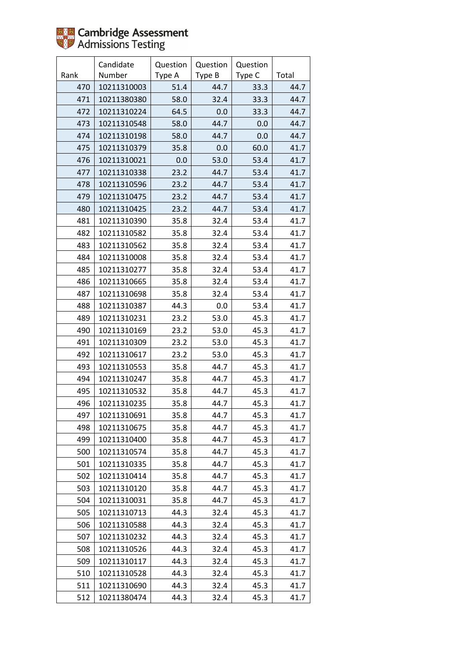

|      | Candidate   | Question | Question | Question |       |
|------|-------------|----------|----------|----------|-------|
| Rank | Number      | Type A   | Type B   | Type C   | Total |
| 470  | 10211310003 | 51.4     | 44.7     | 33.3     | 44.7  |
| 471  | 10211380380 | 58.0     | 32.4     | 33.3     | 44.7  |
| 472  | 10211310224 | 64.5     | 0.0      | 33.3     | 44.7  |
| 473  | 10211310548 | 58.0     | 44.7     | 0.0      | 44.7  |
| 474  | 10211310198 | 58.0     | 44.7     | 0.0      | 44.7  |
| 475  | 10211310379 | 35.8     | 0.0      | 60.0     | 41.7  |
| 476  | 10211310021 | 0.0      | 53.0     | 53.4     | 41.7  |
| 477  | 10211310338 | 23.2     | 44.7     | 53.4     | 41.7  |
| 478  | 10211310596 | 23.2     | 44.7     | 53.4     | 41.7  |
| 479  | 10211310475 | 23.2     | 44.7     | 53.4     | 41.7  |
| 480  | 10211310425 | 23.2     | 44.7     | 53.4     | 41.7  |
| 481  | 10211310390 | 35.8     | 32.4     | 53.4     | 41.7  |
| 482  | 10211310582 | 35.8     | 32.4     | 53.4     | 41.7  |
| 483  | 10211310562 | 35.8     | 32.4     | 53.4     | 41.7  |
| 484  | 10211310008 | 35.8     | 32.4     | 53.4     | 41.7  |
| 485  | 10211310277 | 35.8     | 32.4     | 53.4     | 41.7  |
| 486  | 10211310665 | 35.8     | 32.4     | 53.4     | 41.7  |
| 487  | 10211310698 | 35.8     | 32.4     | 53.4     | 41.7  |
| 488  | 10211310387 | 44.3     | 0.0      | 53.4     | 41.7  |
| 489  | 10211310231 | 23.2     | 53.0     | 45.3     | 41.7  |
| 490  | 10211310169 | 23.2     | 53.0     | 45.3     | 41.7  |
| 491  | 10211310309 | 23.2     | 53.0     | 45.3     | 41.7  |
| 492  | 10211310617 | 23.2     | 53.0     | 45.3     | 41.7  |
| 493  | 10211310553 | 35.8     | 44.7     | 45.3     | 41.7  |
| 494  | 10211310247 | 35.8     | 44.7     | 45.3     | 41.7  |
| 495  | 10211310532 | 35.8     | 44.7     | 45.3     | 41.7  |
| 496  | 10211310235 | 35.8     | 44.7     | 45.3     | 41.7  |
| 497  | 10211310691 | 35.8     | 44.7     | 45.3     | 41.7  |
| 498  | 10211310675 | 35.8     | 44.7     | 45.3     | 41.7  |
| 499  | 10211310400 | 35.8     | 44.7     | 45.3     | 41.7  |
| 500  | 10211310574 | 35.8     | 44.7     | 45.3     | 41.7  |
| 501  | 10211310335 | 35.8     | 44.7     | 45.3     | 41.7  |
| 502  | 10211310414 | 35.8     | 44.7     | 45.3     | 41.7  |
| 503  | 10211310120 | 35.8     | 44.7     | 45.3     | 41.7  |
| 504  | 10211310031 | 35.8     | 44.7     | 45.3     | 41.7  |
| 505  | 10211310713 | 44.3     | 32.4     | 45.3     | 41.7  |
| 506  | 10211310588 | 44.3     | 32.4     | 45.3     | 41.7  |
| 507  | 10211310232 | 44.3     | 32.4     | 45.3     | 41.7  |
| 508  | 10211310526 | 44.3     | 32.4     | 45.3     | 41.7  |
| 509  | 10211310117 | 44.3     | 32.4     | 45.3     | 41.7  |
| 510  | 10211310528 | 44.3     | 32.4     | 45.3     | 41.7  |
| 511  | 10211310690 | 44.3     | 32.4     | 45.3     | 41.7  |
| 512  | 10211380474 | 44.3     | 32.4     | 45.3     | 41.7  |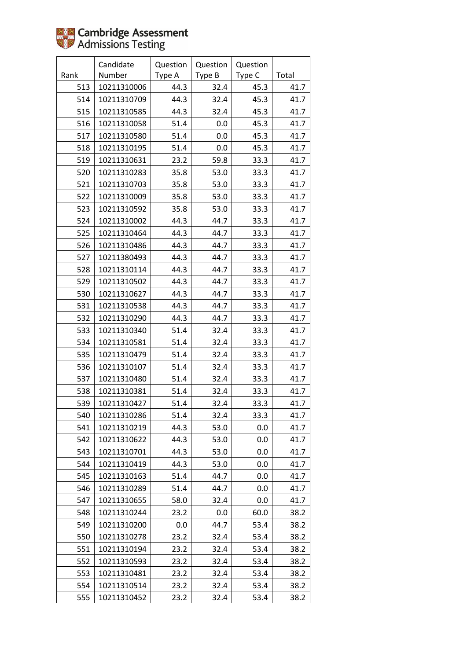|      | Candidate   | Question | Question | Question |       |
|------|-------------|----------|----------|----------|-------|
| Rank | Number      | Type A   | Type B   | Type C   | Total |
| 513  | 10211310006 | 44.3     | 32.4     | 45.3     | 41.7  |
| 514  | 10211310709 | 44.3     | 32.4     | 45.3     | 41.7  |
| 515  | 10211310585 | 44.3     | 32.4     | 45.3     | 41.7  |
| 516  | 10211310058 | 51.4     | 0.0      | 45.3     | 41.7  |
| 517  | 10211310580 | 51.4     | 0.0      | 45.3     | 41.7  |
| 518  | 10211310195 | 51.4     | 0.0      | 45.3     | 41.7  |
| 519  | 10211310631 | 23.2     | 59.8     | 33.3     | 41.7  |
| 520  | 10211310283 | 35.8     | 53.0     | 33.3     | 41.7  |
| 521  | 10211310703 | 35.8     | 53.0     | 33.3     | 41.7  |
| 522  | 10211310009 | 35.8     | 53.0     | 33.3     | 41.7  |
| 523  | 10211310592 | 35.8     | 53.0     | 33.3     | 41.7  |
| 524  | 10211310002 | 44.3     | 44.7     | 33.3     | 41.7  |
| 525  | 10211310464 | 44.3     | 44.7     | 33.3     | 41.7  |
| 526  | 10211310486 | 44.3     | 44.7     | 33.3     | 41.7  |
| 527  | 10211380493 | 44.3     | 44.7     | 33.3     | 41.7  |
| 528  | 10211310114 | 44.3     | 44.7     | 33.3     | 41.7  |
| 529  | 10211310502 | 44.3     | 44.7     | 33.3     | 41.7  |
| 530  | 10211310627 | 44.3     | 44.7     | 33.3     | 41.7  |
| 531  | 10211310538 | 44.3     | 44.7     | 33.3     | 41.7  |
| 532  | 10211310290 | 44.3     | 44.7     | 33.3     | 41.7  |
| 533  | 10211310340 | 51.4     | 32.4     | 33.3     | 41.7  |
| 534  | 10211310581 | 51.4     | 32.4     | 33.3     | 41.7  |
| 535  | 10211310479 | 51.4     | 32.4     | 33.3     | 41.7  |
| 536  | 10211310107 | 51.4     | 32.4     | 33.3     | 41.7  |
| 537  | 10211310480 | 51.4     | 32.4     | 33.3     | 41.7  |
| 538  | 10211310381 | 51.4     | 32.4     | 33.3     | 41.7  |
| 539  | 10211310427 | 51.4     | 32.4     | 33.3     | 41.7  |
| 540  | 10211310286 | 51.4     | 32.4     | 33.3     | 41.7  |
| 541  | 10211310219 | 44.3     | 53.0     | 0.0      | 41.7  |
| 542  | 10211310622 | 44.3     | 53.0     | 0.0      | 41.7  |
| 543  | 10211310701 | 44.3     | 53.0     | 0.0      | 41.7  |
| 544  | 10211310419 | 44.3     | 53.0     | 0.0      | 41.7  |
| 545  | 10211310163 | 51.4     | 44.7     | 0.0      | 41.7  |
| 546  | 10211310289 | 51.4     | 44.7     | 0.0      | 41.7  |
| 547  | 10211310655 | 58.0     | 32.4     | 0.0      | 41.7  |
| 548  | 10211310244 | 23.2     | 0.0      | 60.0     | 38.2  |
| 549  | 10211310200 | $0.0\,$  | 44.7     | 53.4     | 38.2  |
| 550  | 10211310278 | 23.2     | 32.4     | 53.4     | 38.2  |
| 551  | 10211310194 | 23.2     | 32.4     | 53.4     | 38.2  |
| 552  | 10211310593 | 23.2     | 32.4     | 53.4     | 38.2  |
| 553  | 10211310481 | 23.2     | 32.4     | 53.4     | 38.2  |
| 554  | 10211310514 | 23.2     | 32.4     | 53.4     | 38.2  |
| 555  | 10211310452 | 23.2     | 32.4     | 53.4     | 38.2  |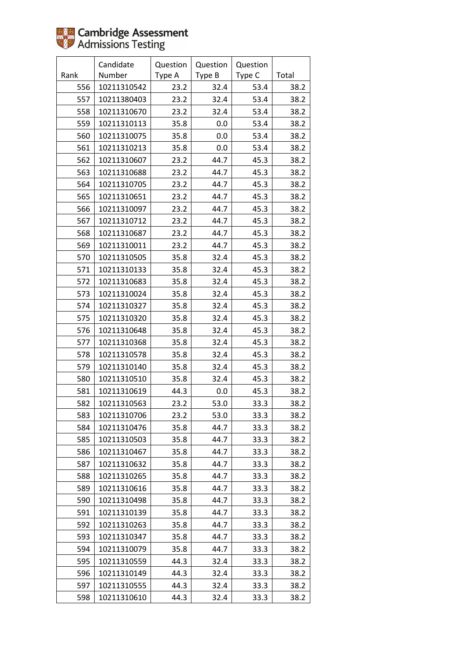

|      | Candidate   | Question | Question | Question |       |
|------|-------------|----------|----------|----------|-------|
| Rank | Number      | Type A   | Type B   | Type C   | Total |
| 556  | 10211310542 | 23.2     | 32.4     | 53.4     | 38.2  |
| 557  | 10211380403 | 23.2     | 32.4     | 53.4     | 38.2  |
| 558  | 10211310670 | 23.2     | 32.4     | 53.4     | 38.2  |
| 559  | 10211310113 | 35.8     | 0.0      | 53.4     | 38.2  |
| 560  | 10211310075 | 35.8     | 0.0      | 53.4     | 38.2  |
| 561  | 10211310213 | 35.8     | 0.0      | 53.4     | 38.2  |
| 562  | 10211310607 | 23.2     | 44.7     | 45.3     | 38.2  |
| 563  | 10211310688 | 23.2     | 44.7     | 45.3     | 38.2  |
| 564  | 10211310705 | 23.2     | 44.7     | 45.3     | 38.2  |
| 565  | 10211310651 | 23.2     | 44.7     | 45.3     | 38.2  |
| 566  | 10211310097 | 23.2     | 44.7     | 45.3     | 38.2  |
| 567  | 10211310712 | 23.2     | 44.7     | 45.3     | 38.2  |
| 568  | 10211310687 | 23.2     | 44.7     | 45.3     | 38.2  |
| 569  | 10211310011 | 23.2     | 44.7     | 45.3     | 38.2  |
| 570  | 10211310505 | 35.8     | 32.4     | 45.3     | 38.2  |
| 571  | 10211310133 | 35.8     | 32.4     | 45.3     | 38.2  |
| 572  | 10211310683 | 35.8     | 32.4     | 45.3     | 38.2  |
| 573  | 10211310024 | 35.8     | 32.4     | 45.3     | 38.2  |
| 574  | 10211310327 | 35.8     | 32.4     | 45.3     | 38.2  |
| 575  | 10211310320 | 35.8     | 32.4     | 45.3     | 38.2  |
| 576  | 10211310648 | 35.8     | 32.4     | 45.3     | 38.2  |
| 577  | 10211310368 | 35.8     | 32.4     | 45.3     | 38.2  |
| 578  | 10211310578 | 35.8     | 32.4     | 45.3     | 38.2  |
| 579  | 10211310140 | 35.8     | 32.4     | 45.3     | 38.2  |
| 580  | 10211310510 | 35.8     | 32.4     | 45.3     | 38.2  |
| 581  | 10211310619 | 44.3     | 0.0      | 45.3     | 38.2  |
| 582  | 10211310563 | 23.2     | 53.0     | 33.3     | 38.2  |
| 583  | 10211310706 | 23.2     | 53.0     | 33.3     | 38.2  |
| 584  | 10211310476 | 35.8     | 44.7     | 33.3     | 38.2  |
| 585  | 10211310503 | 35.8     | 44.7     | 33.3     | 38.2  |
| 586  | 10211310467 | 35.8     | 44.7     | 33.3     | 38.2  |
| 587  | 10211310632 | 35.8     | 44.7     | 33.3     | 38.2  |
| 588  | 10211310265 | 35.8     | 44.7     | 33.3     | 38.2  |
| 589  | 10211310616 | 35.8     | 44.7     | 33.3     | 38.2  |
| 590  | 10211310498 | 35.8     | 44.7     | 33.3     | 38.2  |
| 591  | 10211310139 | 35.8     | 44.7     | 33.3     | 38.2  |
| 592  | 10211310263 | 35.8     | 44.7     | 33.3     | 38.2  |
| 593  | 10211310347 | 35.8     | 44.7     | 33.3     | 38.2  |
| 594  | 10211310079 | 35.8     | 44.7     | 33.3     | 38.2  |
| 595  | 10211310559 | 44.3     | 32.4     | 33.3     | 38.2  |
| 596  | 10211310149 | 44.3     | 32.4     | 33.3     | 38.2  |
| 597  | 10211310555 | 44.3     | 32.4     | 33.3     | 38.2  |
| 598  | 10211310610 | 44.3     | 32.4     | 33.3     | 38.2  |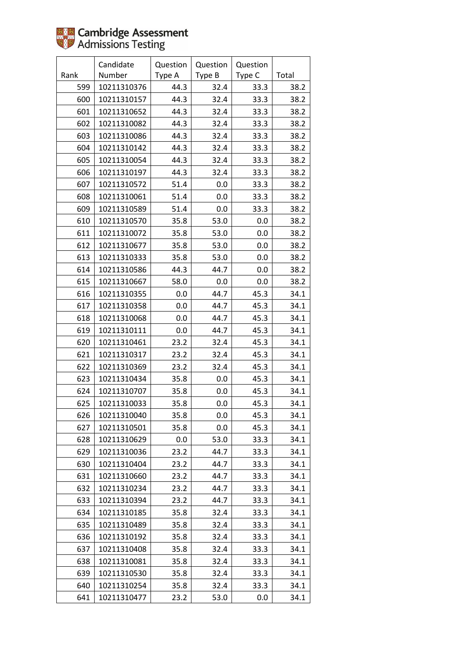|      | Candidate   | Question | Question | Question |       |
|------|-------------|----------|----------|----------|-------|
| Rank | Number      | Type A   | Type B   | Type C   | Total |
| 599  | 10211310376 | 44.3     | 32.4     | 33.3     | 38.2  |
| 600  | 10211310157 | 44.3     | 32.4     | 33.3     | 38.2  |
| 601  | 10211310652 | 44.3     | 32.4     | 33.3     | 38.2  |
| 602  | 10211310082 | 44.3     | 32.4     | 33.3     | 38.2  |
| 603  | 10211310086 | 44.3     | 32.4     | 33.3     | 38.2  |
| 604  | 10211310142 | 44.3     | 32.4     | 33.3     | 38.2  |
| 605  | 10211310054 | 44.3     | 32.4     | 33.3     | 38.2  |
| 606  | 10211310197 | 44.3     | 32.4     | 33.3     | 38.2  |
| 607  | 10211310572 | 51.4     | 0.0      | 33.3     | 38.2  |
| 608  | 10211310061 | 51.4     | 0.0      | 33.3     | 38.2  |
| 609  | 10211310589 | 51.4     | 0.0      | 33.3     | 38.2  |
| 610  | 10211310570 | 35.8     | 53.0     | 0.0      | 38.2  |
| 611  | 10211310072 | 35.8     | 53.0     | 0.0      | 38.2  |
| 612  | 10211310677 | 35.8     | 53.0     | 0.0      | 38.2  |
| 613  | 10211310333 | 35.8     | 53.0     | 0.0      | 38.2  |
| 614  | 10211310586 | 44.3     | 44.7     | 0.0      | 38.2  |
| 615  | 10211310667 | 58.0     | 0.0      | 0.0      | 38.2  |
| 616  | 10211310355 | 0.0      | 44.7     | 45.3     | 34.1  |
| 617  | 10211310358 | 0.0      | 44.7     | 45.3     | 34.1  |
| 618  | 10211310068 | 0.0      | 44.7     | 45.3     | 34.1  |
| 619  | 10211310111 | 0.0      | 44.7     | 45.3     | 34.1  |
| 620  | 10211310461 | 23.2     | 32.4     | 45.3     | 34.1  |
| 621  | 10211310317 | 23.2     | 32.4     | 45.3     | 34.1  |
| 622  | 10211310369 | 23.2     | 32.4     | 45.3     | 34.1  |
| 623  | 10211310434 | 35.8     | 0.0      | 45.3     | 34.1  |
| 624  | 10211310707 | 35.8     | 0.0      | 45.3     | 34.1  |
| 625  | 10211310033 | 35.8     | 0.0      | 45.3     | 34.1  |
| 626  | 10211310040 | 35.8     | 0.0      | 45.3     | 34.1  |
| 627  | 10211310501 | 35.8     | 0.0      | 45.3     | 34.1  |
| 628  | 10211310629 | $0.0\,$  | 53.0     | 33.3     | 34.1  |
| 629  | 10211310036 | 23.2     | 44.7     | 33.3     | 34.1  |
| 630  | 10211310404 | 23.2     | 44.7     | 33.3     | 34.1  |
| 631  | 10211310660 | 23.2     | 44.7     | 33.3     | 34.1  |
| 632  | 10211310234 | 23.2     | 44.7     | 33.3     | 34.1  |
| 633  | 10211310394 | 23.2     | 44.7     | 33.3     | 34.1  |
| 634  | 10211310185 | 35.8     | 32.4     | 33.3     | 34.1  |
| 635  | 10211310489 | 35.8     | 32.4     | 33.3     | 34.1  |
| 636  | 10211310192 | 35.8     | 32.4     | 33.3     | 34.1  |
| 637  | 10211310408 | 35.8     | 32.4     | 33.3     | 34.1  |
| 638  | 10211310081 | 35.8     | 32.4     | 33.3     | 34.1  |
| 639  | 10211310530 | 35.8     | 32.4     | 33.3     | 34.1  |
| 640  | 10211310254 | 35.8     | 32.4     | 33.3     | 34.1  |
| 641  | 10211310477 | 23.2     | 53.0     | 0.0      | 34.1  |